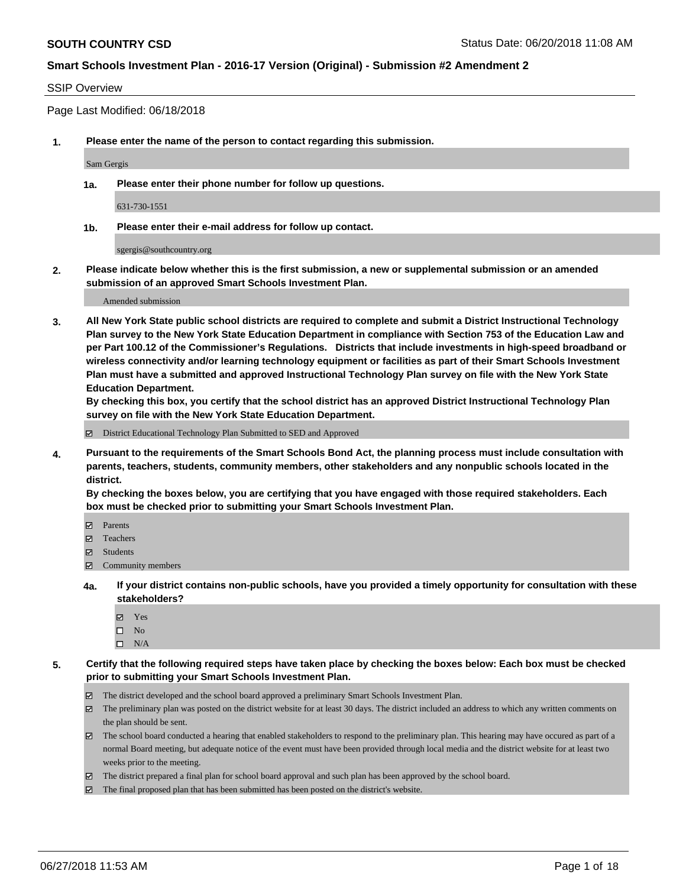#### SSIP Overview

Page Last Modified: 06/18/2018

**1. Please enter the name of the person to contact regarding this submission.**

Sam Gergis

**1a. Please enter their phone number for follow up questions.**

631-730-1551

**1b. Please enter their e-mail address for follow up contact.**

sgergis@southcountry.org

**2. Please indicate below whether this is the first submission, a new or supplemental submission or an amended submission of an approved Smart Schools Investment Plan.**

Amended submission

**3. All New York State public school districts are required to complete and submit a District Instructional Technology Plan survey to the New York State Education Department in compliance with Section 753 of the Education Law and per Part 100.12 of the Commissioner's Regulations. Districts that include investments in high-speed broadband or wireless connectivity and/or learning technology equipment or facilities as part of their Smart Schools Investment Plan must have a submitted and approved Instructional Technology Plan survey on file with the New York State Education Department.** 

**By checking this box, you certify that the school district has an approved District Instructional Technology Plan survey on file with the New York State Education Department.**

District Educational Technology Plan Submitted to SED and Approved

**4. Pursuant to the requirements of the Smart Schools Bond Act, the planning process must include consultation with parents, teachers, students, community members, other stakeholders and any nonpublic schools located in the district.** 

**By checking the boxes below, you are certifying that you have engaged with those required stakeholders. Each box must be checked prior to submitting your Smart Schools Investment Plan.**

- **□** Parents
- Teachers
- Students
- $\Xi$  Community members
- **4a. If your district contains non-public schools, have you provided a timely opportunity for consultation with these stakeholders?**
	- Yes
	- $\square$  No
	- $\square$  N/A
- **5. Certify that the following required steps have taken place by checking the boxes below: Each box must be checked prior to submitting your Smart Schools Investment Plan.**
	- The district developed and the school board approved a preliminary Smart Schools Investment Plan.
	- The preliminary plan was posted on the district website for at least 30 days. The district included an address to which any written comments on the plan should be sent.
	- $\boxtimes$  The school board conducted a hearing that enabled stakeholders to respond to the preliminary plan. This hearing may have occured as part of a normal Board meeting, but adequate notice of the event must have been provided through local media and the district website for at least two weeks prior to the meeting.
	- The district prepared a final plan for school board approval and such plan has been approved by the school board.
	- $\boxtimes$  The final proposed plan that has been submitted has been posted on the district's website.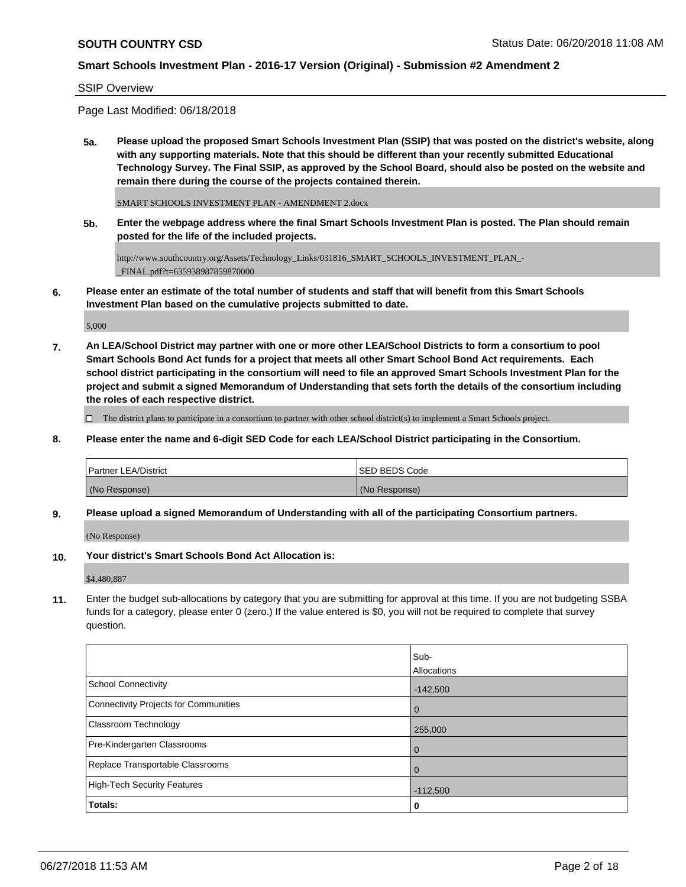#### SSIP Overview

Page Last Modified: 06/18/2018

**5a. Please upload the proposed Smart Schools Investment Plan (SSIP) that was posted on the district's website, along with any supporting materials. Note that this should be different than your recently submitted Educational Technology Survey. The Final SSIP, as approved by the School Board, should also be posted on the website and remain there during the course of the projects contained therein.**

SMART SCHOOLS INVESTMENT PLAN - AMENDMENT 2.docx

**5b. Enter the webpage address where the final Smart Schools Investment Plan is posted. The Plan should remain posted for the life of the included projects.**

http://www.southcountry.org/Assets/Technology\_Links/031816\_SMART\_SCHOOLS\_INVESTMENT\_PLAN\_- \_FINAL.pdf?t=635938987859870000

**6. Please enter an estimate of the total number of students and staff that will benefit from this Smart Schools Investment Plan based on the cumulative projects submitted to date.**

5,000

**7. An LEA/School District may partner with one or more other LEA/School Districts to form a consortium to pool Smart Schools Bond Act funds for a project that meets all other Smart School Bond Act requirements. Each school district participating in the consortium will need to file an approved Smart Schools Investment Plan for the project and submit a signed Memorandum of Understanding that sets forth the details of the consortium including the roles of each respective district.**

 $\Box$  The district plans to participate in a consortium to partner with other school district(s) to implement a Smart Schools project.

**8. Please enter the name and 6-digit SED Code for each LEA/School District participating in the Consortium.**

| <b>Partner LEA/District</b> | <b>ISED BEDS Code</b> |
|-----------------------------|-----------------------|
| (No Response)               | (No Response)         |

**9. Please upload a signed Memorandum of Understanding with all of the participating Consortium partners.**

(No Response)

**10. Your district's Smart Schools Bond Act Allocation is:**

\$4,480,887

**11.** Enter the budget sub-allocations by category that you are submitting for approval at this time. If you are not budgeting SSBA funds for a category, please enter 0 (zero.) If the value entered is \$0, you will not be required to complete that survey question.

|                                       | Sub-           |
|---------------------------------------|----------------|
|                                       | Allocations    |
| <b>School Connectivity</b>            | $-142,500$     |
| Connectivity Projects for Communities | $\mathbf{0}$   |
| <b>Classroom Technology</b>           | 255,000        |
| Pre-Kindergarten Classrooms           | $\overline{0}$ |
| Replace Transportable Classrooms      | $\mathbf 0$    |
| High-Tech Security Features           | $-112,500$     |
| Totals:                               | 0              |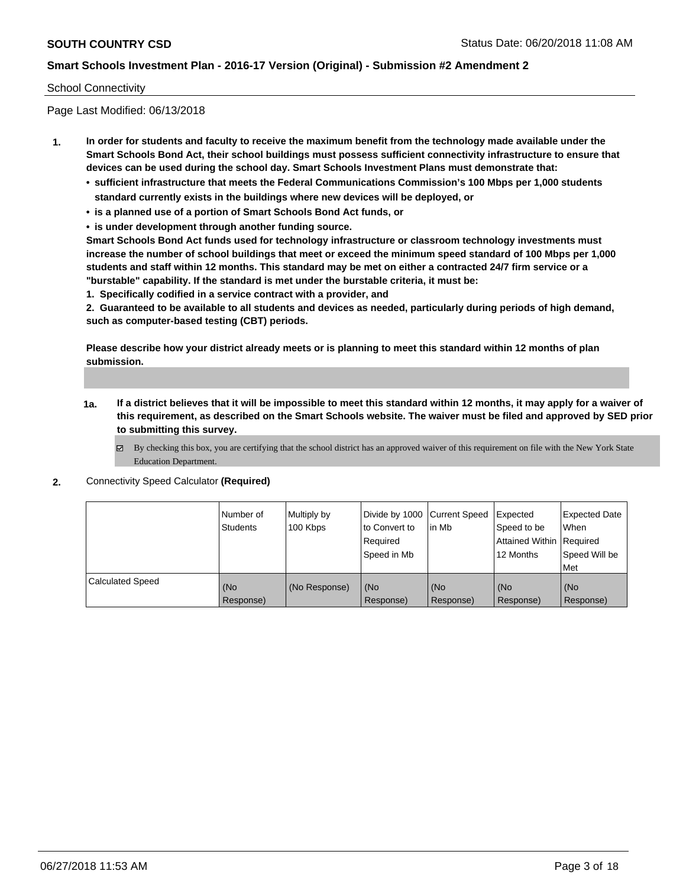#### School Connectivity

Page Last Modified: 06/13/2018

- **1. In order for students and faculty to receive the maximum benefit from the technology made available under the Smart Schools Bond Act, their school buildings must possess sufficient connectivity infrastructure to ensure that devices can be used during the school day. Smart Schools Investment Plans must demonstrate that:**
	- **• sufficient infrastructure that meets the Federal Communications Commission's 100 Mbps per 1,000 students standard currently exists in the buildings where new devices will be deployed, or**
	- **• is a planned use of a portion of Smart Schools Bond Act funds, or**
	- **• is under development through another funding source.**

**Smart Schools Bond Act funds used for technology infrastructure or classroom technology investments must increase the number of school buildings that meet or exceed the minimum speed standard of 100 Mbps per 1,000 students and staff within 12 months. This standard may be met on either a contracted 24/7 firm service or a "burstable" capability. If the standard is met under the burstable criteria, it must be:**

**1. Specifically codified in a service contract with a provider, and**

**2. Guaranteed to be available to all students and devices as needed, particularly during periods of high demand, such as computer-based testing (CBT) periods.**

**Please describe how your district already meets or is planning to meet this standard within 12 months of plan submission.**

- **1a. If a district believes that it will be impossible to meet this standard within 12 months, it may apply for a waiver of this requirement, as described on the Smart Schools website. The waiver must be filed and approved by SED prior to submitting this survey.**
	- By checking this box, you are certifying that the school district has an approved waiver of this requirement on file with the New York State Education Department.
- **2.** Connectivity Speed Calculator **(Required)**

|                  | Number of<br><b>Students</b> | Multiply by<br>100 Kbps | Divide by 1000 Current Speed<br>to Convert to<br>Required<br>Speed in Mb | lin Mb           | Expected<br>Speed to be<br><b>Attained Within Required</b><br>12 Months | <b>Expected Date</b><br>When<br>Speed Will be<br>Met |
|------------------|------------------------------|-------------------------|--------------------------------------------------------------------------|------------------|-------------------------------------------------------------------------|------------------------------------------------------|
| Calculated Speed | (No<br>Response)             | (No Response)           | (No<br>Response)                                                         | (No<br>Response) | (No<br>Response)                                                        | KNo<br>Response)                                     |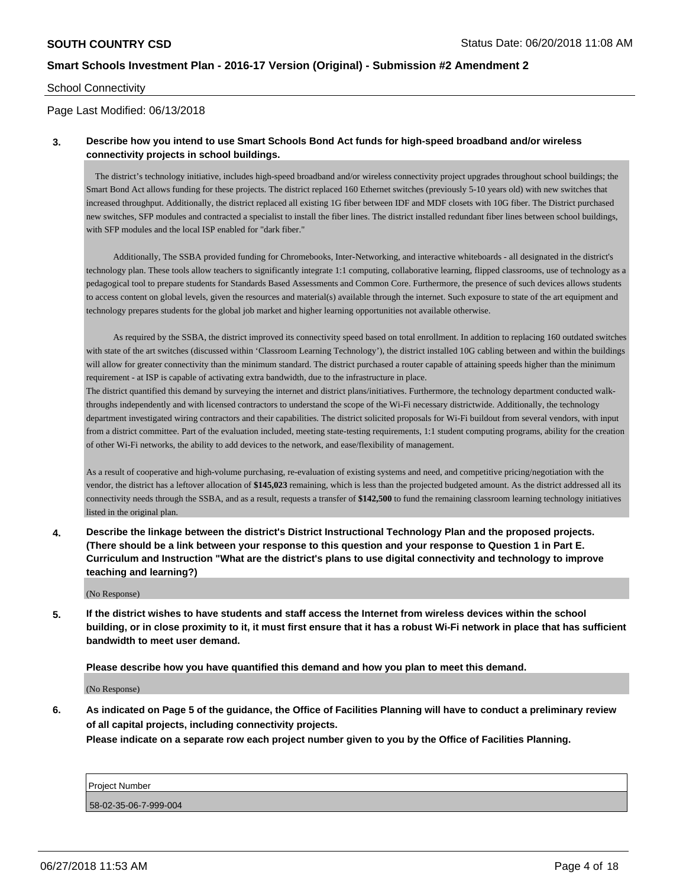#### School Connectivity

#### Page Last Modified: 06/13/2018

### **3. Describe how you intend to use Smart Schools Bond Act funds for high-speed broadband and/or wireless connectivity projects in school buildings.**

 The district's technology initiative, includes high-speed broadband and/or wireless connectivity project upgrades throughout school buildings; the Smart Bond Act allows funding for these projects. The district replaced 160 Ethernet switches (previously 5-10 years old) with new switches that increased throughput. Additionally, the district replaced all existing 1G fiber between IDF and MDF closets with 10G fiber. The District purchased new switches, SFP modules and contracted a specialist to install the fiber lines. The district installed redundant fiber lines between school buildings, with SFP modules and the local ISP enabled for "dark fiber."

 Additionally, The SSBA provided funding for Chromebooks, Inter-Networking, and interactive whiteboards - all designated in the district's technology plan. These tools allow teachers to significantly integrate 1:1 computing, collaborative learning, flipped classrooms, use of technology as a pedagogical tool to prepare students for Standards Based Assessments and Common Core. Furthermore, the presence of such devices allows students to access content on global levels, given the resources and material(s) available through the internet. Such exposure to state of the art equipment and technology prepares students for the global job market and higher learning opportunities not available otherwise.

 As required by the SSBA, the district improved its connectivity speed based on total enrollment. In addition to replacing 160 outdated switches with state of the art switches (discussed within 'Classroom Learning Technology'), the district installed 10G cabling between and within the buildings will allow for greater connectivity than the minimum standard. The district purchased a router capable of attaining speeds higher than the minimum requirement - at ISP is capable of activating extra bandwidth, due to the infrastructure in place.

The district quantified this demand by surveying the internet and district plans/initiatives. Furthermore, the technology department conducted walkthroughs independently and with licensed contractors to understand the scope of the Wi-Fi necessary districtwide. Additionally, the technology department investigated wiring contractors and their capabilities. The district solicited proposals for Wi-Fi buildout from several vendors, with input from a district committee. Part of the evaluation included, meeting state-testing requirements, 1:1 student computing programs, ability for the creation of other Wi-Fi networks, the ability to add devices to the network, and ease/flexibility of management.

As a result of cooperative and high-volume purchasing, re-evaluation of existing systems and need, and competitive pricing/negotiation with the vendor, the district has a leftover allocation of **\$145,023** remaining, which is less than the projected budgeted amount. As the district addressed all its connectivity needs through the SSBA, and as a result, requests a transfer of **\$142,500** to fund the remaining classroom learning technology initiatives listed in the original plan.

**4. Describe the linkage between the district's District Instructional Technology Plan and the proposed projects. (There should be a link between your response to this question and your response to Question 1 in Part E. Curriculum and Instruction "What are the district's plans to use digital connectivity and technology to improve teaching and learning?)**

(No Response)

**5. If the district wishes to have students and staff access the Internet from wireless devices within the school building, or in close proximity to it, it must first ensure that it has a robust Wi-Fi network in place that has sufficient bandwidth to meet user demand.**

**Please describe how you have quantified this demand and how you plan to meet this demand.**

(No Response)

**6. As indicated on Page 5 of the guidance, the Office of Facilities Planning will have to conduct a preliminary review of all capital projects, including connectivity projects.**

**Please indicate on a separate row each project number given to you by the Office of Facilities Planning.**

| <b>Project Number</b> |  |
|-----------------------|--|
| 58-02-35-06-7-999-004 |  |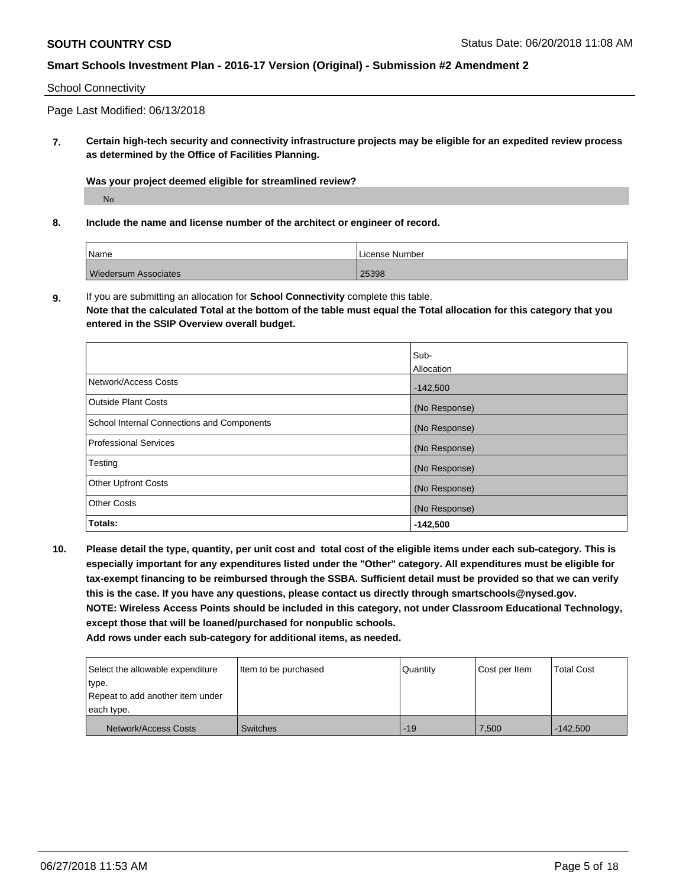#### School Connectivity

Page Last Modified: 06/13/2018

**7. Certain high-tech security and connectivity infrastructure projects may be eligible for an expedited review process as determined by the Office of Facilities Planning.**

**Was your project deemed eligible for streamlined review?**

No

**8. Include the name and license number of the architect or engineer of record.**

| Name                        | License Number |
|-----------------------------|----------------|
| <b>Wiedersum Associates</b> | 25398          |

**9.** If you are submitting an allocation for **School Connectivity** complete this table.

**Note that the calculated Total at the bottom of the table must equal the Total allocation for this category that you entered in the SSIP Overview overall budget.** 

|                                            | Sub-          |
|--------------------------------------------|---------------|
|                                            | Allocation    |
| Network/Access Costs                       | $-142,500$    |
| <b>Outside Plant Costs</b>                 | (No Response) |
| School Internal Connections and Components | (No Response) |
| Professional Services                      | (No Response) |
| Testing                                    | (No Response) |
| <b>Other Upfront Costs</b>                 | (No Response) |
| <b>Other Costs</b>                         | (No Response) |
| Totals:                                    | $-142,500$    |

**10. Please detail the type, quantity, per unit cost and total cost of the eligible items under each sub-category. This is especially important for any expenditures listed under the "Other" category. All expenditures must be eligible for tax-exempt financing to be reimbursed through the SSBA. Sufficient detail must be provided so that we can verify this is the case. If you have any questions, please contact us directly through smartschools@nysed.gov. NOTE: Wireless Access Points should be included in this category, not under Classroom Educational Technology, except those that will be loaned/purchased for nonpublic schools. Add rows under each sub-category for additional items, as needed.**

Select the allowable expenditure type. Repeat to add another item under each type. Item to be purchased  $\vert$  Quantity  $\vert$  Cost per Item  $\vert$  Total Cost Network/Access Costs Switches Switches -19 7,500 -142,500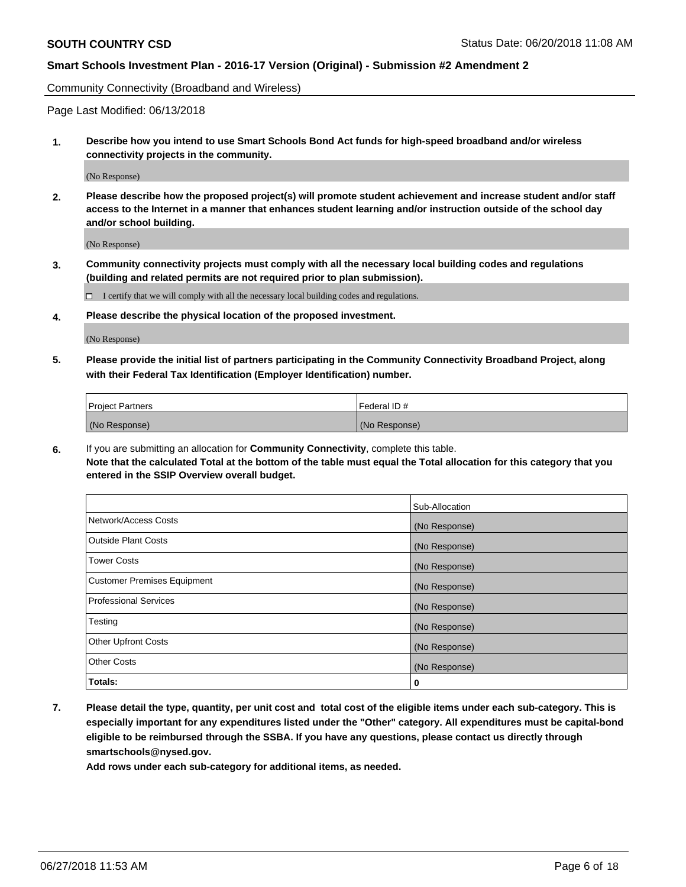Community Connectivity (Broadband and Wireless)

Page Last Modified: 06/13/2018

**1. Describe how you intend to use Smart Schools Bond Act funds for high-speed broadband and/or wireless connectivity projects in the community.**

(No Response)

**2. Please describe how the proposed project(s) will promote student achievement and increase student and/or staff access to the Internet in a manner that enhances student learning and/or instruction outside of the school day and/or school building.**

(No Response)

**3. Community connectivity projects must comply with all the necessary local building codes and regulations (building and related permits are not required prior to plan submission).**

 $\Box$  I certify that we will comply with all the necessary local building codes and regulations.

**4. Please describe the physical location of the proposed investment.**

(No Response)

**5. Please provide the initial list of partners participating in the Community Connectivity Broadband Project, along with their Federal Tax Identification (Employer Identification) number.**

| <b>Project Partners</b> | Federal ID#   |
|-------------------------|---------------|
| (No Response)           | (No Response) |

**6.** If you are submitting an allocation for **Community Connectivity**, complete this table. **Note that the calculated Total at the bottom of the table must equal the Total allocation for this category that you entered in the SSIP Overview overall budget.**

|                                    | Sub-Allocation |
|------------------------------------|----------------|
| Network/Access Costs               | (No Response)  |
| Outside Plant Costs                | (No Response)  |
| <b>Tower Costs</b>                 | (No Response)  |
| <b>Customer Premises Equipment</b> | (No Response)  |
| <b>Professional Services</b>       | (No Response)  |
| Testing                            | (No Response)  |
| <b>Other Upfront Costs</b>         | (No Response)  |
| <b>Other Costs</b>                 | (No Response)  |
| Totals:                            | 0              |

**7. Please detail the type, quantity, per unit cost and total cost of the eligible items under each sub-category. This is especially important for any expenditures listed under the "Other" category. All expenditures must be capital-bond eligible to be reimbursed through the SSBA. If you have any questions, please contact us directly through smartschools@nysed.gov.**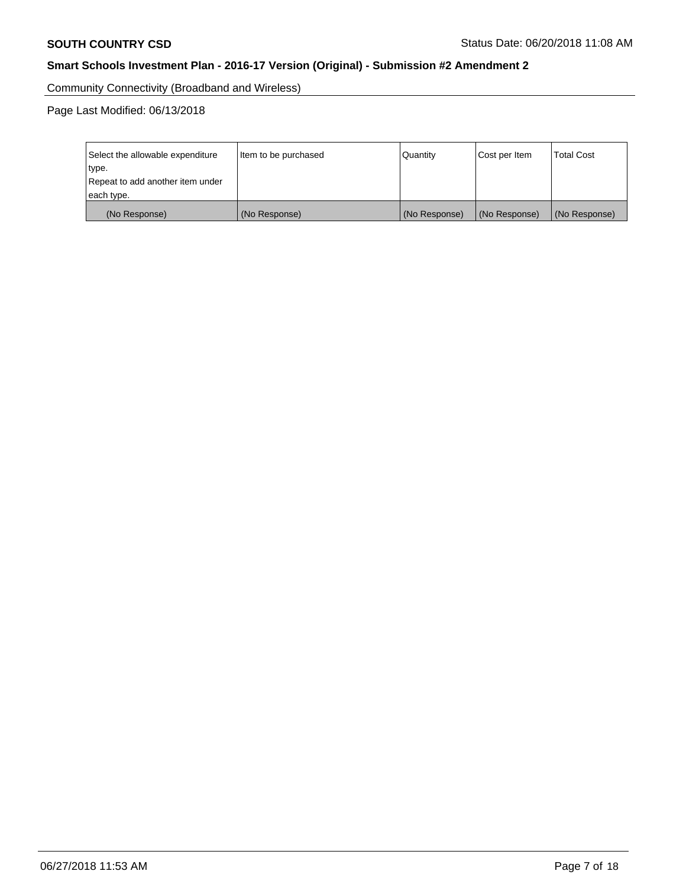Community Connectivity (Broadband and Wireless)

| Select the allowable expenditure<br>type.<br>Repeat to add another item under | Item to be purchased | Quantity      | Cost per Item | <b>Total Cost</b> |
|-------------------------------------------------------------------------------|----------------------|---------------|---------------|-------------------|
| each type.                                                                    |                      |               |               |                   |
| (No Response)                                                                 | (No Response)        | (No Response) | (No Response) | (No Response)     |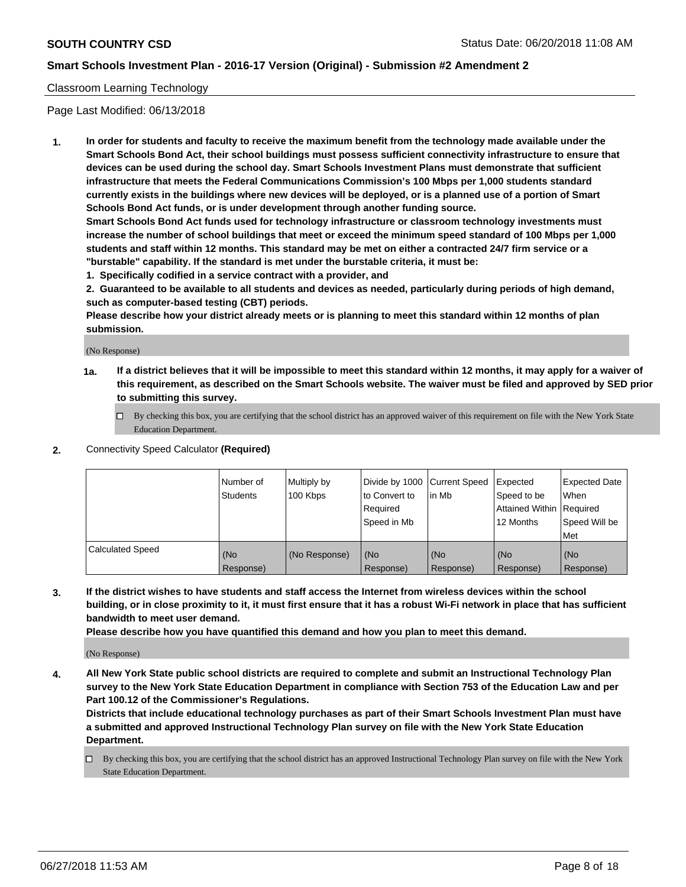## Classroom Learning Technology

Page Last Modified: 06/13/2018

**1. In order for students and faculty to receive the maximum benefit from the technology made available under the Smart Schools Bond Act, their school buildings must possess sufficient connectivity infrastructure to ensure that devices can be used during the school day. Smart Schools Investment Plans must demonstrate that sufficient infrastructure that meets the Federal Communications Commission's 100 Mbps per 1,000 students standard currently exists in the buildings where new devices will be deployed, or is a planned use of a portion of Smart Schools Bond Act funds, or is under development through another funding source.**

**Smart Schools Bond Act funds used for technology infrastructure or classroom technology investments must increase the number of school buildings that meet or exceed the minimum speed standard of 100 Mbps per 1,000 students and staff within 12 months. This standard may be met on either a contracted 24/7 firm service or a "burstable" capability. If the standard is met under the burstable criteria, it must be:**

**1. Specifically codified in a service contract with a provider, and**

**2. Guaranteed to be available to all students and devices as needed, particularly during periods of high demand, such as computer-based testing (CBT) periods.**

**Please describe how your district already meets or is planning to meet this standard within 12 months of plan submission.**

(No Response)

- **1a. If a district believes that it will be impossible to meet this standard within 12 months, it may apply for a waiver of this requirement, as described on the Smart Schools website. The waiver must be filed and approved by SED prior to submitting this survey.**
	- By checking this box, you are certifying that the school district has an approved waiver of this requirement on file with the New York State Education Department.
- **2.** Connectivity Speed Calculator **(Required)**

|                         | l Number of<br><b>Students</b> | Multiply by<br>100 Kbps | Divide by 1000 Current Speed<br>to Convert to<br>Required<br>l Speed in Mb | lin Mb           | Expected<br>Speed to be<br>Attained Within Required<br>12 Months | Expected Date<br>When<br>Speed Will be<br><b>Met</b> |
|-------------------------|--------------------------------|-------------------------|----------------------------------------------------------------------------|------------------|------------------------------------------------------------------|------------------------------------------------------|
| <b>Calculated Speed</b> | (No<br>Response)               | (No Response)           | (No<br>Response)                                                           | (No<br>Response) | (No<br>Response)                                                 | l (No<br>Response)                                   |

**3. If the district wishes to have students and staff access the Internet from wireless devices within the school building, or in close proximity to it, it must first ensure that it has a robust Wi-Fi network in place that has sufficient bandwidth to meet user demand.**

**Please describe how you have quantified this demand and how you plan to meet this demand.**

(No Response)

**4. All New York State public school districts are required to complete and submit an Instructional Technology Plan survey to the New York State Education Department in compliance with Section 753 of the Education Law and per Part 100.12 of the Commissioner's Regulations.**

**Districts that include educational technology purchases as part of their Smart Schools Investment Plan must have a submitted and approved Instructional Technology Plan survey on file with the New York State Education Department.**

By checking this box, you are certifying that the school district has an approved Instructional Technology Plan survey on file with the New York State Education Department.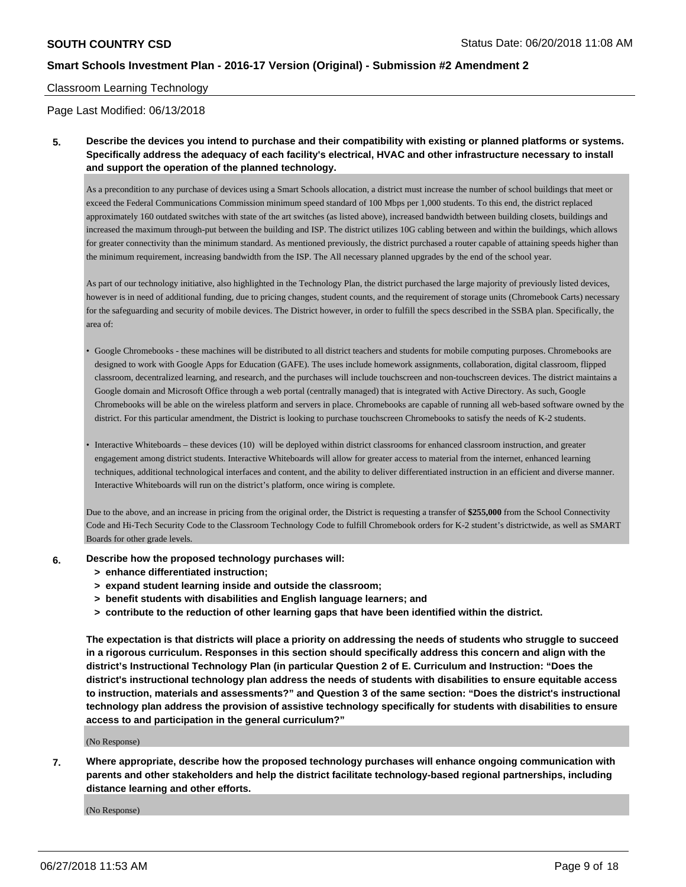#### Classroom Learning Technology

Page Last Modified: 06/13/2018

**5. Describe the devices you intend to purchase and their compatibility with existing or planned platforms or systems. Specifically address the adequacy of each facility's electrical, HVAC and other infrastructure necessary to install and support the operation of the planned technology.**

As a precondition to any purchase of devices using a Smart Schools allocation, a district must increase the number of school buildings that meet or exceed the Federal Communications Commission minimum speed standard of 100 Mbps per 1,000 students. To this end, the district replaced approximately 160 outdated switches with state of the art switches (as listed above), increased bandwidth between building closets, buildings and increased the maximum through-put between the building and ISP. The district utilizes 10G cabling between and within the buildings, which allows for greater connectivity than the minimum standard. As mentioned previously, the district purchased a router capable of attaining speeds higher than the minimum requirement, increasing bandwidth from the ISP. The All necessary planned upgrades by the end of the school year.

As part of our technology initiative, also highlighted in the Technology Plan, the district purchased the large majority of previously listed devices, however is in need of additional funding, due to pricing changes, student counts, and the requirement of storage units (Chromebook Carts) necessary for the safeguarding and security of mobile devices. The District however, in order to fulfill the specs described in the SSBA plan. Specifically, the area of:

- Google Chromebooks these machines will be distributed to all district teachers and students for mobile computing purposes. Chromebooks are designed to work with Google Apps for Education (GAFE). The uses include homework assignments, collaboration, digital classroom, flipped classroom, decentralized learning, and research, and the purchases will include touchscreen and non-touchscreen devices. The district maintains a Google domain and Microsoft Office through a web portal (centrally managed) that is integrated with Active Directory. As such, Google Chromebooks will be able on the wireless platform and servers in place. Chromebooks are capable of running all web-based software owned by the district. For this particular amendment, the District is looking to purchase touchscreen Chromebooks to satisfy the needs of K-2 students.
- Interactive Whiteboards these devices (10) will be deployed within district classrooms for enhanced classroom instruction, and greater engagement among district students. Interactive Whiteboards will allow for greater access to material from the internet, enhanced learning techniques, additional technological interfaces and content, and the ability to deliver differentiated instruction in an efficient and diverse manner. Interactive Whiteboards will run on the district's platform, once wiring is complete.

Due to the above, and an increase in pricing from the original order, the District is requesting a transfer of **\$255,000** from the School Connectivity Code and Hi-Tech Security Code to the Classroom Technology Code to fulfill Chromebook orders for K-2 student's districtwide, as well as SMART Boards for other grade levels.

- **6. Describe how the proposed technology purchases will:**
	- **> enhance differentiated instruction;**
	- **> expand student learning inside and outside the classroom;**
	- **> benefit students with disabilities and English language learners; and**
	- **> contribute to the reduction of other learning gaps that have been identified within the district.**

**The expectation is that districts will place a priority on addressing the needs of students who struggle to succeed in a rigorous curriculum. Responses in this section should specifically address this concern and align with the district's Instructional Technology Plan (in particular Question 2 of E. Curriculum and Instruction: "Does the district's instructional technology plan address the needs of students with disabilities to ensure equitable access to instruction, materials and assessments?" and Question 3 of the same section: "Does the district's instructional technology plan address the provision of assistive technology specifically for students with disabilities to ensure access to and participation in the general curriculum?"**

(No Response)

**7. Where appropriate, describe how the proposed technology purchases will enhance ongoing communication with parents and other stakeholders and help the district facilitate technology-based regional partnerships, including distance learning and other efforts.**

(No Response)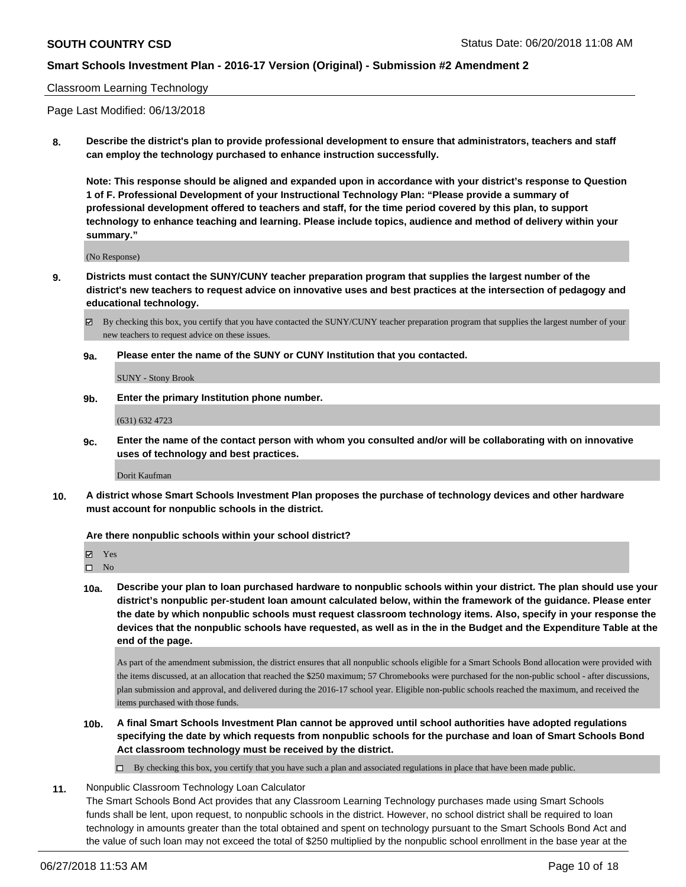### Classroom Learning Technology

Page Last Modified: 06/13/2018

**8. Describe the district's plan to provide professional development to ensure that administrators, teachers and staff can employ the technology purchased to enhance instruction successfully.**

**Note: This response should be aligned and expanded upon in accordance with your district's response to Question 1 of F. Professional Development of your Instructional Technology Plan: "Please provide a summary of professional development offered to teachers and staff, for the time period covered by this plan, to support technology to enhance teaching and learning. Please include topics, audience and method of delivery within your summary."**

(No Response)

**9. Districts must contact the SUNY/CUNY teacher preparation program that supplies the largest number of the district's new teachers to request advice on innovative uses and best practices at the intersection of pedagogy and educational technology.**

 $\boxtimes$  By checking this box, you certify that you have contacted the SUNY/CUNY teacher preparation program that supplies the largest number of your new teachers to request advice on these issues.

**9a. Please enter the name of the SUNY or CUNY Institution that you contacted.**

SUNY - Stony Brook

**9b. Enter the primary Institution phone number.**

(631) 632 4723

**9c. Enter the name of the contact person with whom you consulted and/or will be collaborating with on innovative uses of technology and best practices.**

Dorit Kaufman

**10. A district whose Smart Schools Investment Plan proposes the purchase of technology devices and other hardware must account for nonpublic schools in the district.**

#### **Are there nonpublic schools within your school district?**

Yes

 $\square$  No

**10a. Describe your plan to loan purchased hardware to nonpublic schools within your district. The plan should use your district's nonpublic per-student loan amount calculated below, within the framework of the guidance. Please enter the date by which nonpublic schools must request classroom technology items. Also, specify in your response the devices that the nonpublic schools have requested, as well as in the in the Budget and the Expenditure Table at the end of the page.**

As part of the amendment submission, the district ensures that all nonpublic schools eligible for a Smart Schools Bond allocation were provided with the items discussed, at an allocation that reached the \$250 maximum; 57 Chromebooks were purchased for the non-public school - after discussions, plan submission and approval, and delivered during the 2016-17 school year. Eligible non-public schools reached the maximum, and received the items purchased with those funds.

**10b. A final Smart Schools Investment Plan cannot be approved until school authorities have adopted regulations specifying the date by which requests from nonpublic schools for the purchase and loan of Smart Schools Bond Act classroom technology must be received by the district.**

 $\Box$  By checking this box, you certify that you have such a plan and associated regulations in place that have been made public.

**11.** Nonpublic Classroom Technology Loan Calculator

The Smart Schools Bond Act provides that any Classroom Learning Technology purchases made using Smart Schools funds shall be lent, upon request, to nonpublic schools in the district. However, no school district shall be required to loan technology in amounts greater than the total obtained and spent on technology pursuant to the Smart Schools Bond Act and the value of such loan may not exceed the total of \$250 multiplied by the nonpublic school enrollment in the base year at the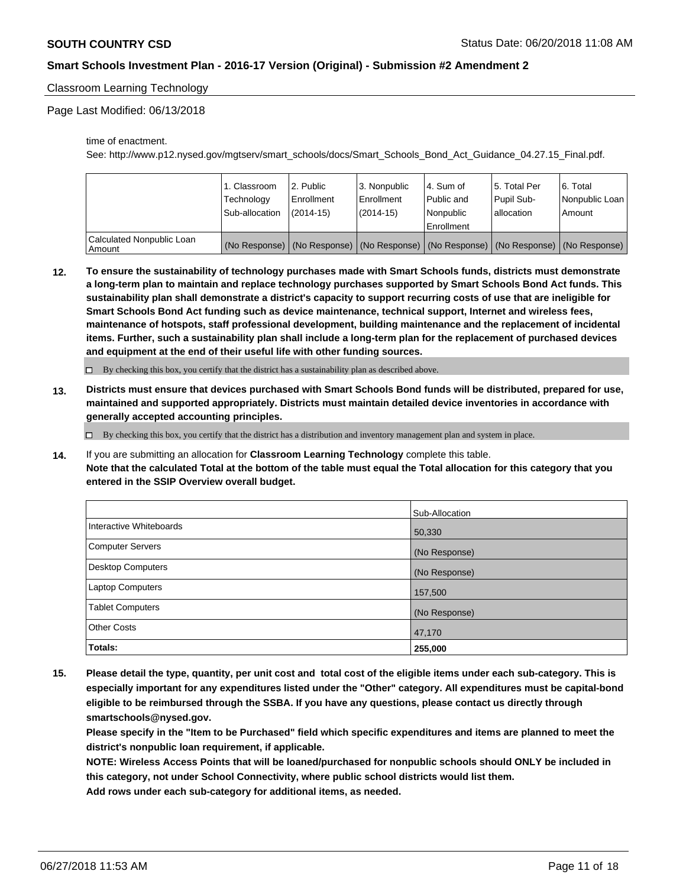### Classroom Learning Technology

Page Last Modified: 06/13/2018

time of enactment.

See: http://www.p12.nysed.gov/mgtserv/smart\_schools/docs/Smart\_Schools\_Bond\_Act\_Guidance\_04.27.15\_Final.pdf.

|                                     | 1. Classroom   | l 2. Public   | 3. Nonpublic | l 4. Sum of  | 15. Total Per | l 6. Total                                                                                    |
|-------------------------------------|----------------|---------------|--------------|--------------|---------------|-----------------------------------------------------------------------------------------------|
|                                     | Technology     | Enrollment    | Enrollment   | Public and   | Pupil Sub-    | Nonpublic Loan                                                                                |
|                                     | Sub-allocation | $(2014 - 15)$ | (2014-15)    | Nonpublic    | lallocation   | Amount                                                                                        |
|                                     |                |               |              | l Enrollment |               |                                                                                               |
| Calculated Nonpublic Loan<br>Amount |                |               |              |              |               | (No Response)   (No Response)   (No Response)   (No Response)   (No Response)   (No Response) |

**12. To ensure the sustainability of technology purchases made with Smart Schools funds, districts must demonstrate a long-term plan to maintain and replace technology purchases supported by Smart Schools Bond Act funds. This sustainability plan shall demonstrate a district's capacity to support recurring costs of use that are ineligible for Smart Schools Bond Act funding such as device maintenance, technical support, Internet and wireless fees, maintenance of hotspots, staff professional development, building maintenance and the replacement of incidental items. Further, such a sustainability plan shall include a long-term plan for the replacement of purchased devices and equipment at the end of their useful life with other funding sources.**

 $\Box$  By checking this box, you certify that the district has a sustainability plan as described above.

**13. Districts must ensure that devices purchased with Smart Schools Bond funds will be distributed, prepared for use, maintained and supported appropriately. Districts must maintain detailed device inventories in accordance with generally accepted accounting principles.**

 $\Box$  By checking this box, you certify that the district has a distribution and inventory management plan and system in place.

**14.** If you are submitting an allocation for **Classroom Learning Technology** complete this table. **Note that the calculated Total at the bottom of the table must equal the Total allocation for this category that you entered in the SSIP Overview overall budget.**

|                          | Sub-Allocation |
|--------------------------|----------------|
| Interactive Whiteboards  | 50,330         |
| <b>Computer Servers</b>  | (No Response)  |
| <b>Desktop Computers</b> | (No Response)  |
| <b>Laptop Computers</b>  | 157,500        |
| <b>Tablet Computers</b>  | (No Response)  |
| <b>Other Costs</b>       | 47,170         |
| Totals:                  | 255,000        |

**15. Please detail the type, quantity, per unit cost and total cost of the eligible items under each sub-category. This is especially important for any expenditures listed under the "Other" category. All expenditures must be capital-bond eligible to be reimbursed through the SSBA. If you have any questions, please contact us directly through smartschools@nysed.gov.**

**Please specify in the "Item to be Purchased" field which specific expenditures and items are planned to meet the district's nonpublic loan requirement, if applicable.**

**NOTE: Wireless Access Points that will be loaned/purchased for nonpublic schools should ONLY be included in this category, not under School Connectivity, where public school districts would list them. Add rows under each sub-category for additional items, as needed.**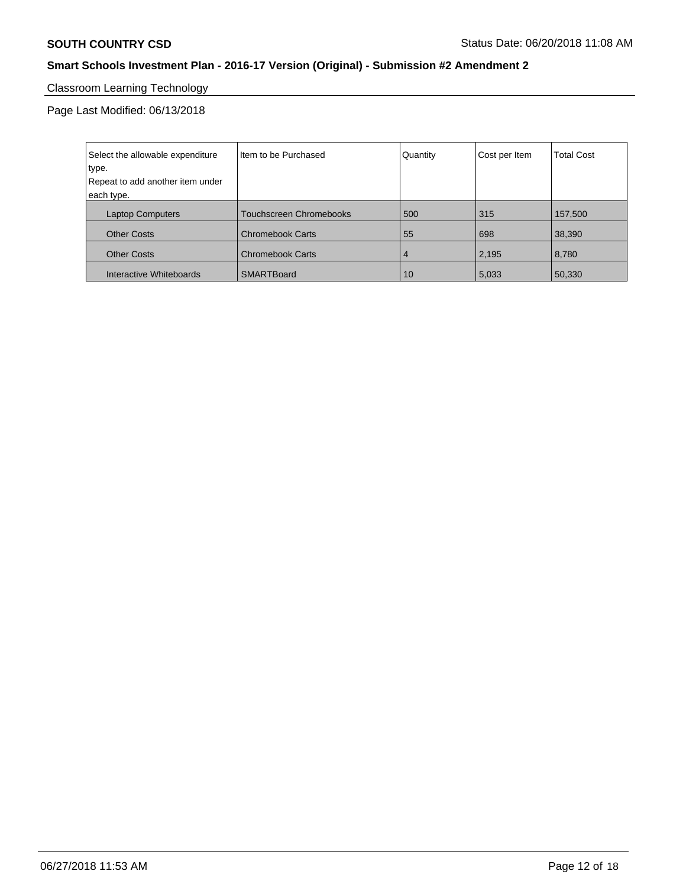# Classroom Learning Technology

| Select the allowable expenditure | Item to be Purchased           | Quantity       | Cost per Item | <b>Total Cost</b> |
|----------------------------------|--------------------------------|----------------|---------------|-------------------|
| type.                            |                                |                |               |                   |
| Repeat to add another item under |                                |                |               |                   |
| each type.                       |                                |                |               |                   |
| <b>Laptop Computers</b>          | <b>Touchscreen Chromebooks</b> | 500            | 315           | 157,500           |
| <b>Other Costs</b>               | <b>Chromebook Carts</b>        | 55             | 698           | 38,390            |
| <b>Other Costs</b>               | <b>Chromebook Carts</b>        | $\overline{4}$ | 2,195         | 8,780             |
| Interactive Whiteboards          | SMARTBoard                     | 10             | 5,033         | 50,330            |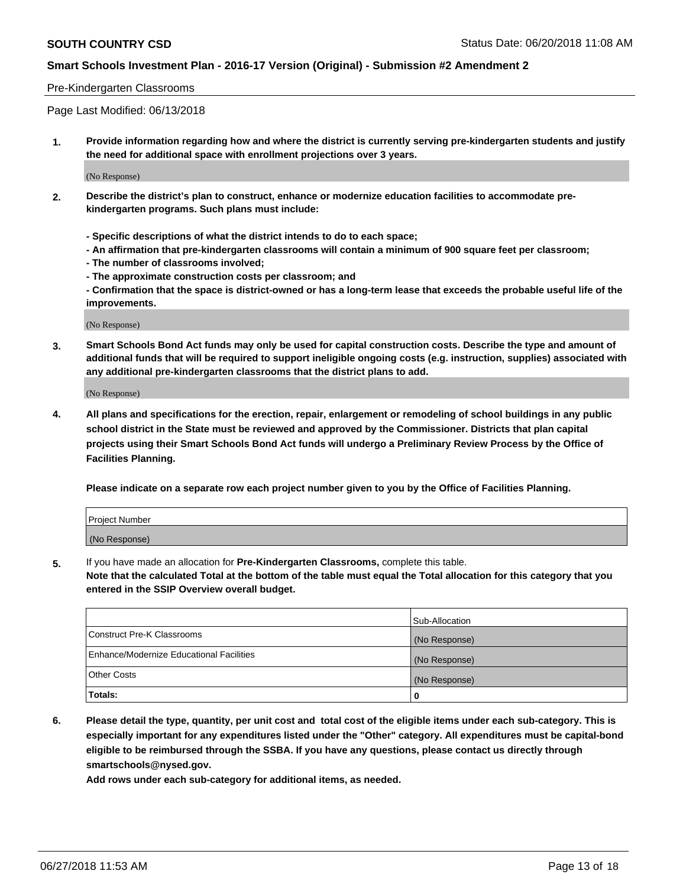#### Pre-Kindergarten Classrooms

Page Last Modified: 06/13/2018

**1. Provide information regarding how and where the district is currently serving pre-kindergarten students and justify the need for additional space with enrollment projections over 3 years.**

(No Response)

- **2. Describe the district's plan to construct, enhance or modernize education facilities to accommodate prekindergarten programs. Such plans must include:**
	- **Specific descriptions of what the district intends to do to each space;**
	- **An affirmation that pre-kindergarten classrooms will contain a minimum of 900 square feet per classroom;**
	- **The number of classrooms involved;**
	- **The approximate construction costs per classroom; and**
	- **Confirmation that the space is district-owned or has a long-term lease that exceeds the probable useful life of the improvements.**

(No Response)

**3. Smart Schools Bond Act funds may only be used for capital construction costs. Describe the type and amount of additional funds that will be required to support ineligible ongoing costs (e.g. instruction, supplies) associated with any additional pre-kindergarten classrooms that the district plans to add.**

(No Response)

**4. All plans and specifications for the erection, repair, enlargement or remodeling of school buildings in any public school district in the State must be reviewed and approved by the Commissioner. Districts that plan capital projects using their Smart Schools Bond Act funds will undergo a Preliminary Review Process by the Office of Facilities Planning.**

**Please indicate on a separate row each project number given to you by the Office of Facilities Planning.**

| <b>Project Number</b> |  |
|-----------------------|--|
| (No Response)         |  |

**5.** If you have made an allocation for **Pre-Kindergarten Classrooms,** complete this table.

**Note that the calculated Total at the bottom of the table must equal the Total allocation for this category that you entered in the SSIP Overview overall budget.**

|                                          | Sub-Allocation |
|------------------------------------------|----------------|
| Construct Pre-K Classrooms               | (No Response)  |
| Enhance/Modernize Educational Facilities | (No Response)  |
| Other Costs                              | (No Response)  |
| Totals:                                  | 0              |

**6. Please detail the type, quantity, per unit cost and total cost of the eligible items under each sub-category. This is especially important for any expenditures listed under the "Other" category. All expenditures must be capital-bond eligible to be reimbursed through the SSBA. If you have any questions, please contact us directly through smartschools@nysed.gov.**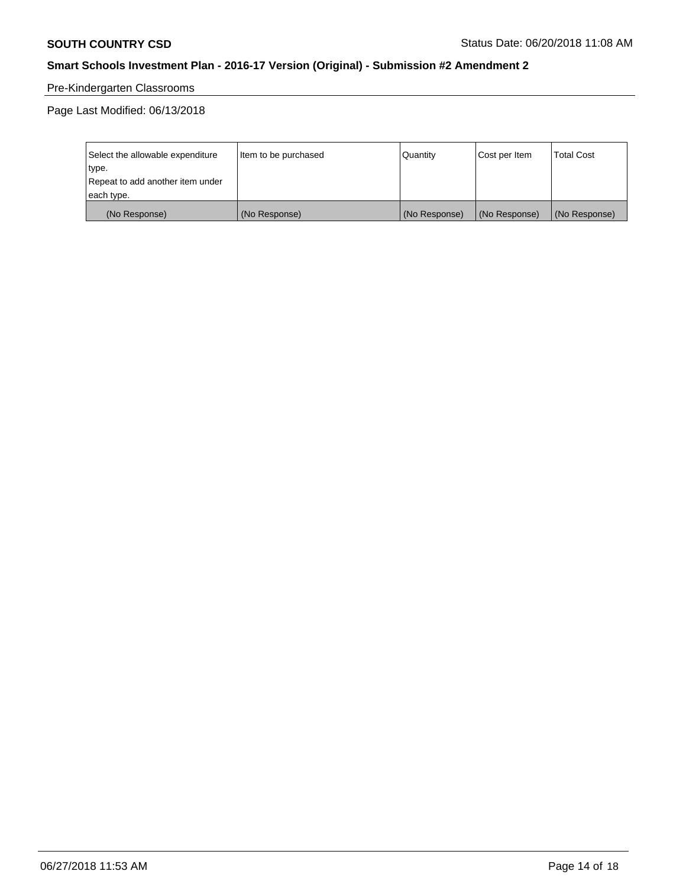# Pre-Kindergarten Classrooms

| Select the allowable expenditure | Item to be purchased | Quantity      | Cost per Item | <b>Total Cost</b> |
|----------------------------------|----------------------|---------------|---------------|-------------------|
| type.                            |                      |               |               |                   |
| Repeat to add another item under |                      |               |               |                   |
| each type.                       |                      |               |               |                   |
| (No Response)                    | (No Response)        | (No Response) | (No Response) | (No Response)     |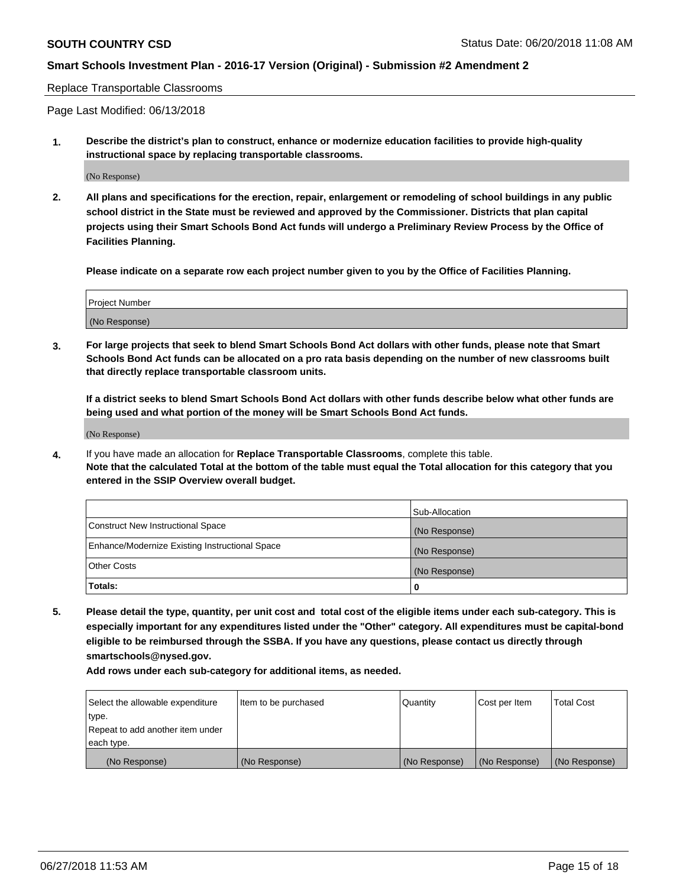#### Replace Transportable Classrooms

Page Last Modified: 06/13/2018

**1. Describe the district's plan to construct, enhance or modernize education facilities to provide high-quality instructional space by replacing transportable classrooms.**

(No Response)

**2. All plans and specifications for the erection, repair, enlargement or remodeling of school buildings in any public school district in the State must be reviewed and approved by the Commissioner. Districts that plan capital projects using their Smart Schools Bond Act funds will undergo a Preliminary Review Process by the Office of Facilities Planning.**

**Please indicate on a separate row each project number given to you by the Office of Facilities Planning.**

| <b>Project Number</b> |  |
|-----------------------|--|
| (No Response)         |  |
|                       |  |

**3. For large projects that seek to blend Smart Schools Bond Act dollars with other funds, please note that Smart Schools Bond Act funds can be allocated on a pro rata basis depending on the number of new classrooms built that directly replace transportable classroom units.**

**If a district seeks to blend Smart Schools Bond Act dollars with other funds describe below what other funds are being used and what portion of the money will be Smart Schools Bond Act funds.**

(No Response)

**4.** If you have made an allocation for **Replace Transportable Classrooms**, complete this table. **Note that the calculated Total at the bottom of the table must equal the Total allocation for this category that you entered in the SSIP Overview overall budget.**

|                                                | Sub-Allocation |
|------------------------------------------------|----------------|
| Construct New Instructional Space              | (No Response)  |
| Enhance/Modernize Existing Instructional Space | (No Response)  |
| Other Costs                                    | (No Response)  |
| Totals:                                        | 0              |

**5. Please detail the type, quantity, per unit cost and total cost of the eligible items under each sub-category. This is especially important for any expenditures listed under the "Other" category. All expenditures must be capital-bond eligible to be reimbursed through the SSBA. If you have any questions, please contact us directly through smartschools@nysed.gov.**

| Select the allowable expenditure<br>type. | Item to be purchased | Quantity      | Cost per Item | <b>Total Cost</b> |
|-------------------------------------------|----------------------|---------------|---------------|-------------------|
| Repeat to add another item under          |                      |               |               |                   |
| each type.                                |                      |               |               |                   |
| (No Response)                             | (No Response)        | (No Response) | (No Response) | (No Response)     |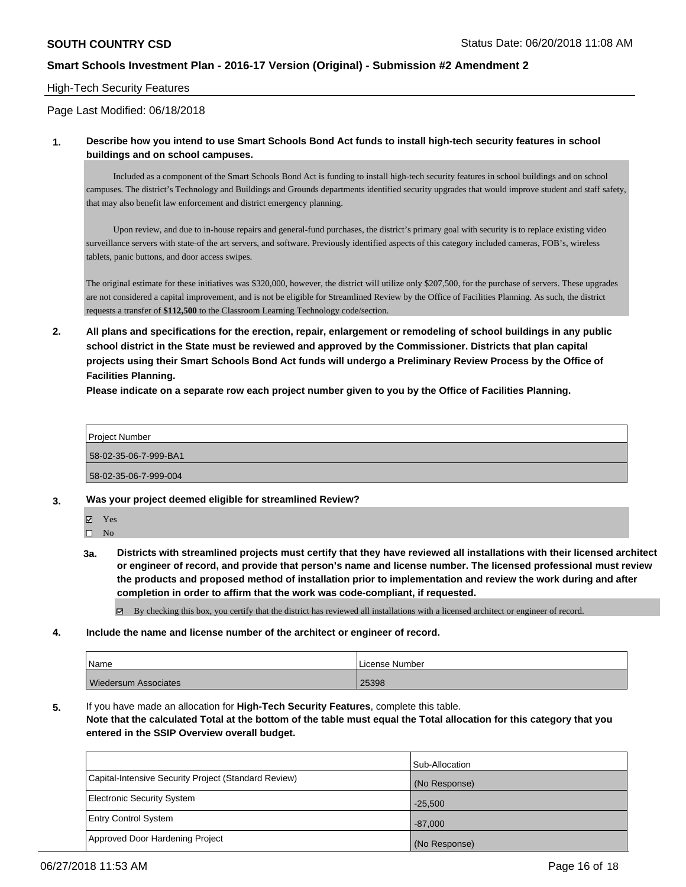#### High-Tech Security Features

Page Last Modified: 06/18/2018

#### **1. Describe how you intend to use Smart Schools Bond Act funds to install high-tech security features in school buildings and on school campuses.**

 Included as a component of the Smart Schools Bond Act is funding to install high-tech security features in school buildings and on school campuses. The district's Technology and Buildings and Grounds departments identified security upgrades that would improve student and staff safety, that may also benefit law enforcement and district emergency planning.

 Upon review, and due to in-house repairs and general-fund purchases, the district's primary goal with security is to replace existing video surveillance servers with state-of the art servers, and software. Previously identified aspects of this category included cameras, FOB's, wireless tablets, panic buttons, and door access swipes.

The original estimate for these initiatives was \$320,000, however, the district will utilize only \$207,500, for the purchase of servers. These upgrades are not considered a capital improvement, and is not be eligible for Streamlined Review by the Office of Facilities Planning. As such, the district requests a transfer of **\$112,500** to the Classroom Learning Technology code/section.

**2. All plans and specifications for the erection, repair, enlargement or remodeling of school buildings in any public school district in the State must be reviewed and approved by the Commissioner. Districts that plan capital projects using their Smart Schools Bond Act funds will undergo a Preliminary Review Process by the Office of Facilities Planning.** 

**Please indicate on a separate row each project number given to you by the Office of Facilities Planning.**

Project Number 58-02-35-06-7-999-BA1 58-02-35-06-7-999-004

- **3. Was your project deemed eligible for streamlined Review?**
- 

Yes  $\square$  No

**3a. Districts with streamlined projects must certify that they have reviewed all installations with their licensed architect or engineer of record, and provide that person's name and license number. The licensed professional must review the products and proposed method of installation prior to implementation and review the work during and after completion in order to affirm that the work was code-compliant, if requested.**

By checking this box, you certify that the district has reviewed all installations with a licensed architect or engineer of record.

**4. Include the name and license number of the architect or engineer of record.**

| Name                        | License Number |
|-----------------------------|----------------|
| <b>Wiedersum Associates</b> | 25398          |

**5.** If you have made an allocation for **High-Tech Security Features**, complete this table.

**Note that the calculated Total at the bottom of the table must equal the Total allocation for this category that you entered in the SSIP Overview overall budget.**

|                                                      | Sub-Allocation |
|------------------------------------------------------|----------------|
| Capital-Intensive Security Project (Standard Review) | (No Response)  |
| Electronic Security System                           | $-25,500$      |
| <b>Entry Control System</b>                          | $-87,000$      |
| Approved Door Hardening Project                      | (No Response)  |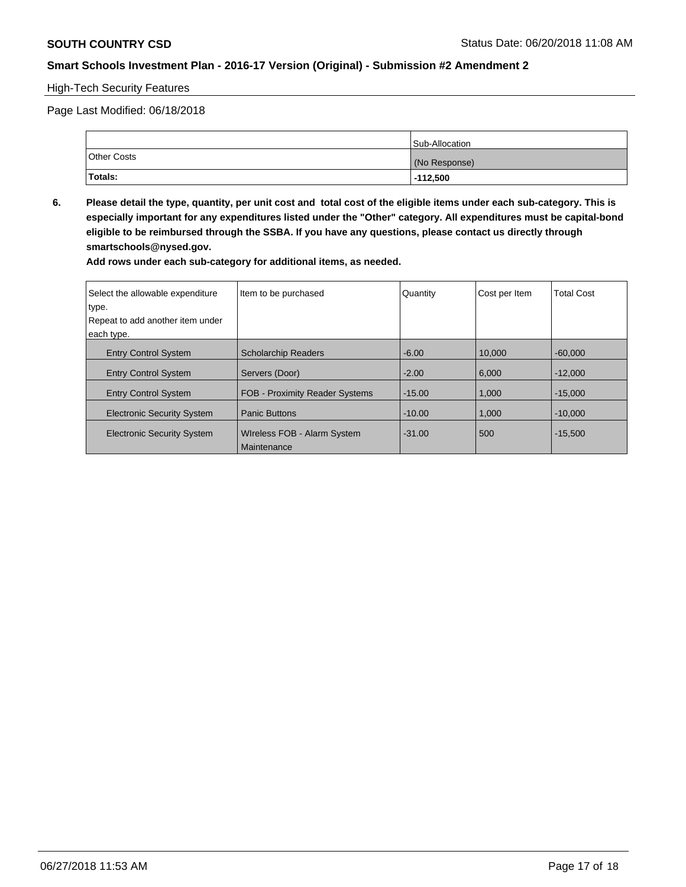#### High-Tech Security Features

Page Last Modified: 06/18/2018

|                    | <b>Sub-Allocation</b> |
|--------------------|-----------------------|
| <b>Other Costs</b> | (No Response)         |
| Totals:            | $-112,500$            |

**6. Please detail the type, quantity, per unit cost and total cost of the eligible items under each sub-category. This is especially important for any expenditures listed under the "Other" category. All expenditures must be capital-bond eligible to be reimbursed through the SSBA. If you have any questions, please contact us directly through smartschools@nysed.gov.**

| Select the allowable expenditure  | Item to be purchased                       | Quantity | Cost per Item | <b>Total Cost</b> |
|-----------------------------------|--------------------------------------------|----------|---------------|-------------------|
| type.                             |                                            |          |               |                   |
| Repeat to add another item under  |                                            |          |               |                   |
| each type.                        |                                            |          |               |                   |
| <b>Entry Control System</b>       | <b>Scholarchip Readers</b>                 | $-6.00$  | 10.000        | $-60.000$         |
| <b>Entry Control System</b>       | Servers (Door)                             | $-2.00$  | 6.000         | $-12,000$         |
| <b>Entry Control System</b>       | <b>FOB - Proximity Reader Systems</b>      | $-15.00$ | 1,000         | $-15.000$         |
| <b>Electronic Security System</b> | <b>Panic Buttons</b>                       | $-10.00$ | 1,000         | $-10.000$         |
| <b>Electronic Security System</b> | Wireless FOB - Alarm System<br>Maintenance | $-31.00$ | 500           | $-15.500$         |